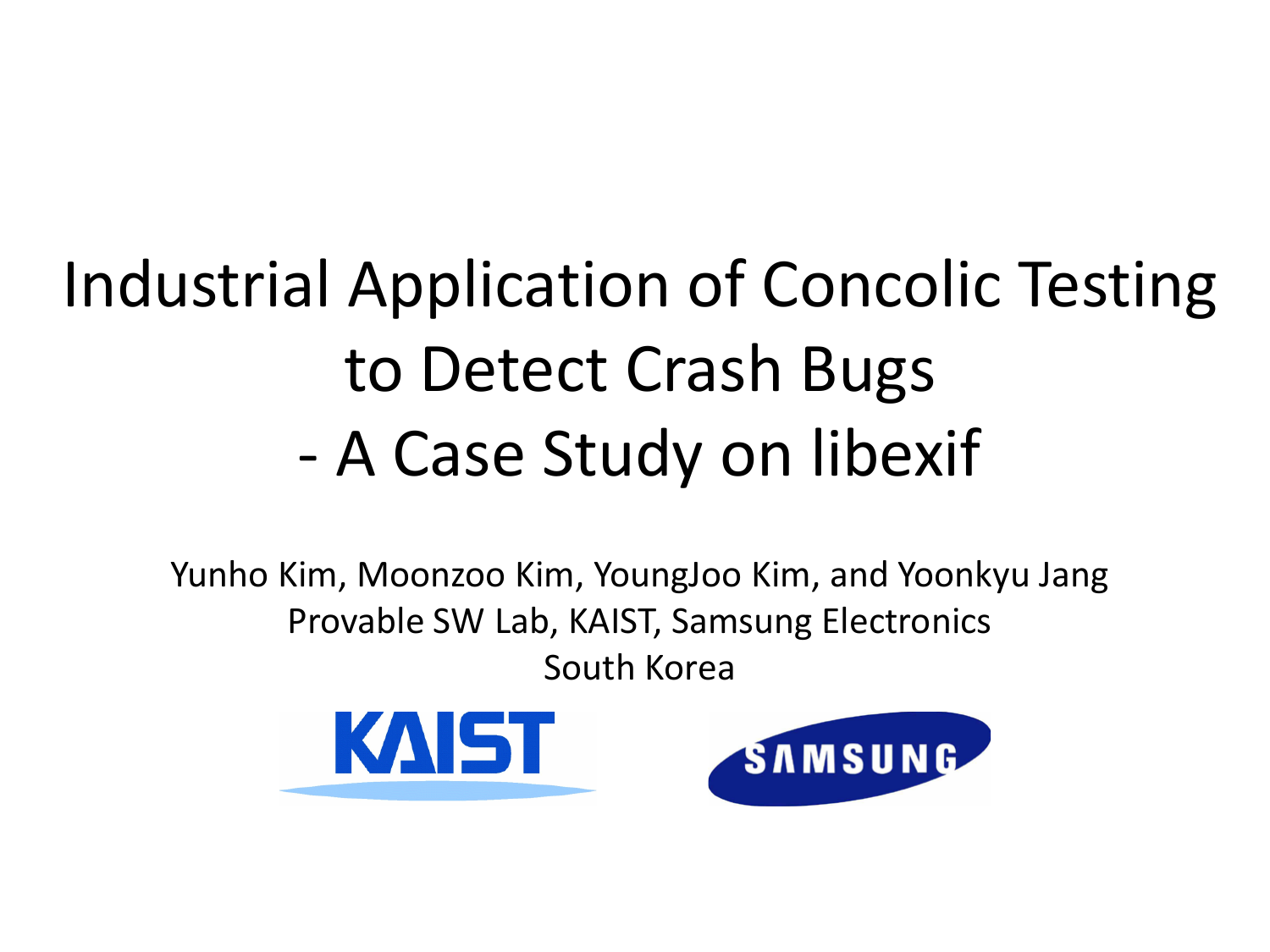### Industrial Application of Concolic Testing to Detect Crash Bugs - A Case Study on libexif

Yunho Kim, Moonzoo Kim, YoungJoo Kim, and Yoonkyu Jang Provable SW Lab, KAIST, Samsung Electronics South Korea

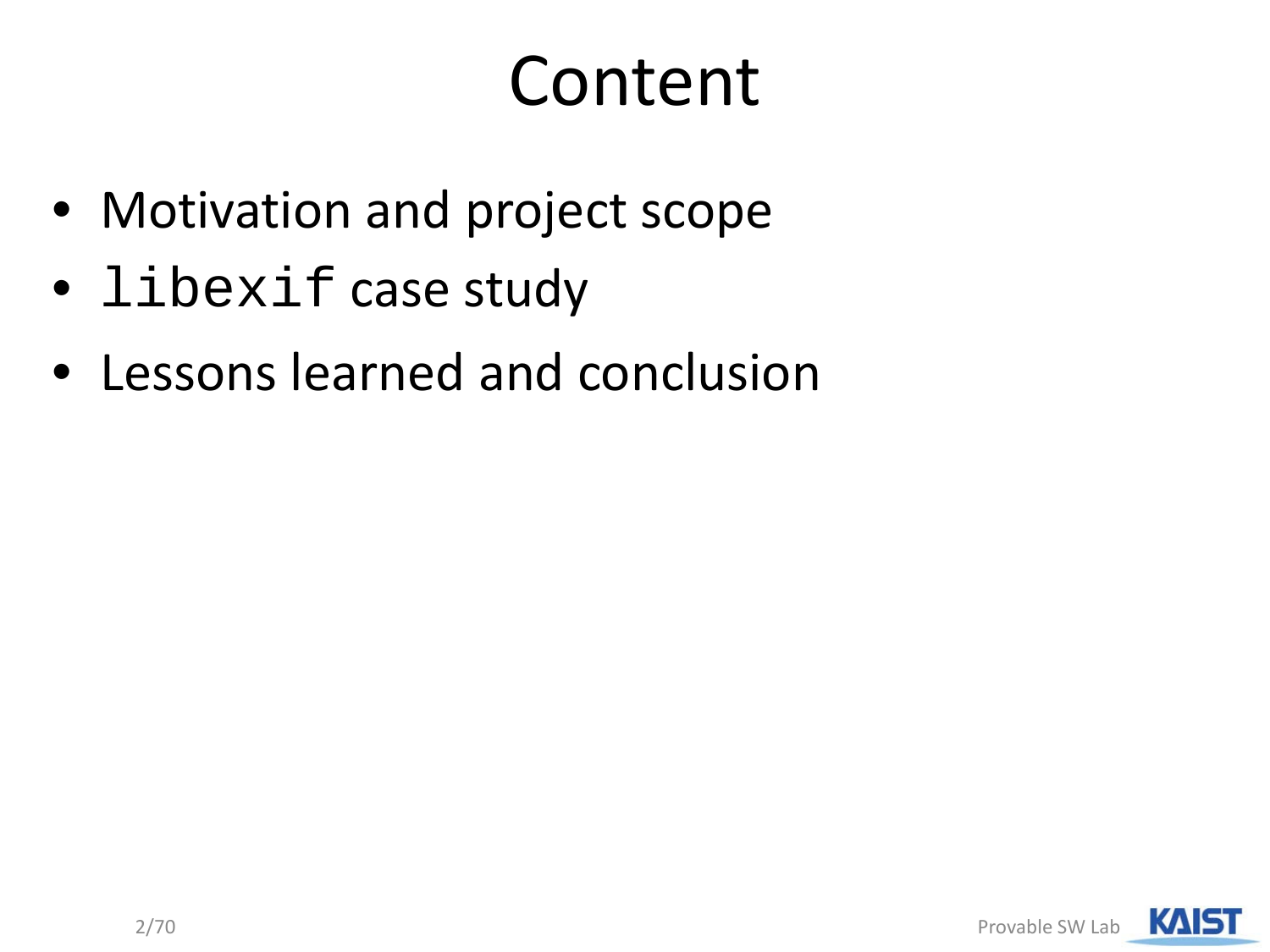## Content

- Motivation and project scope
- libexif case study
- Lessons learned and conclusion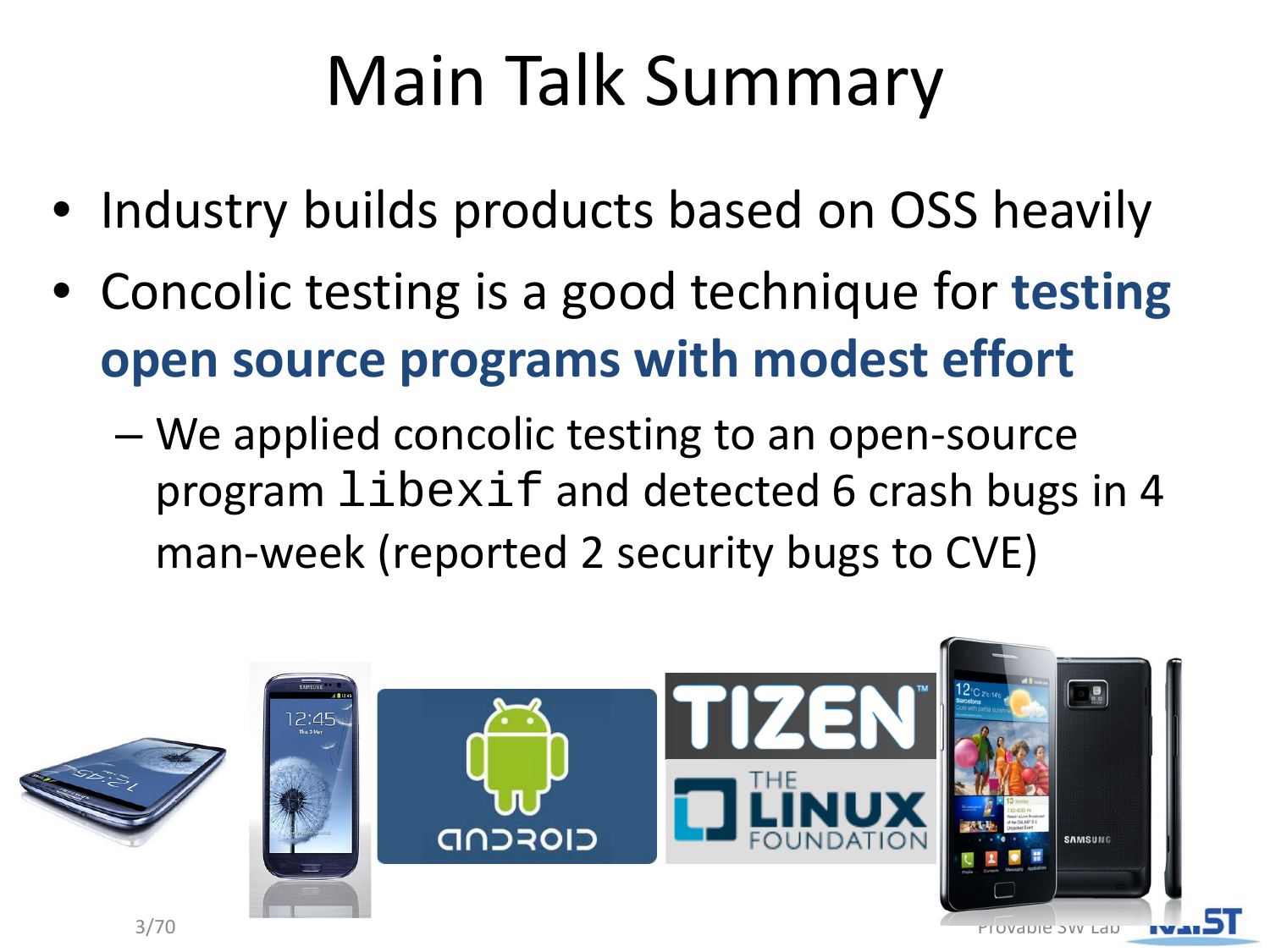## Main Talk Summary

- Industry builds products based on OSS heavily
- Concolic testing is a good technique for **testing open source programs with modest effort**
	- We applied concolic testing to an open-source program libexif and detected 6 crash bugs in 4 man-week (reported 2 security bugs to CVE)

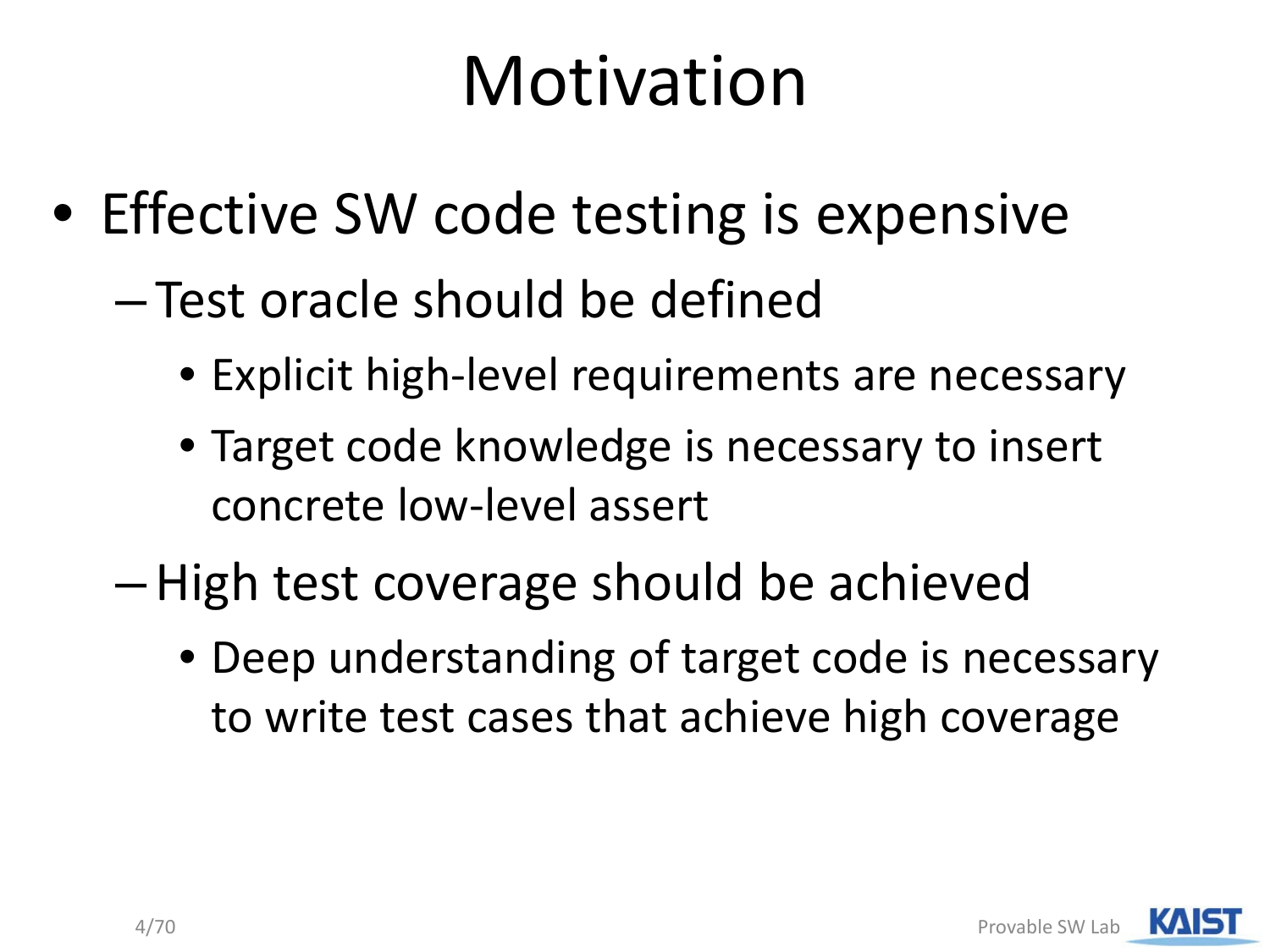## Motivation

- Effective SW code testing is expensive
	- Test oracle should be defined
		- Explicit high-level requirements are necessary
		- Target code knowledge is necessary to insert concrete low-level assert
	- –High test coverage should be achieved
		- Deep understanding of target code is necessary to write test cases that achieve high coverage

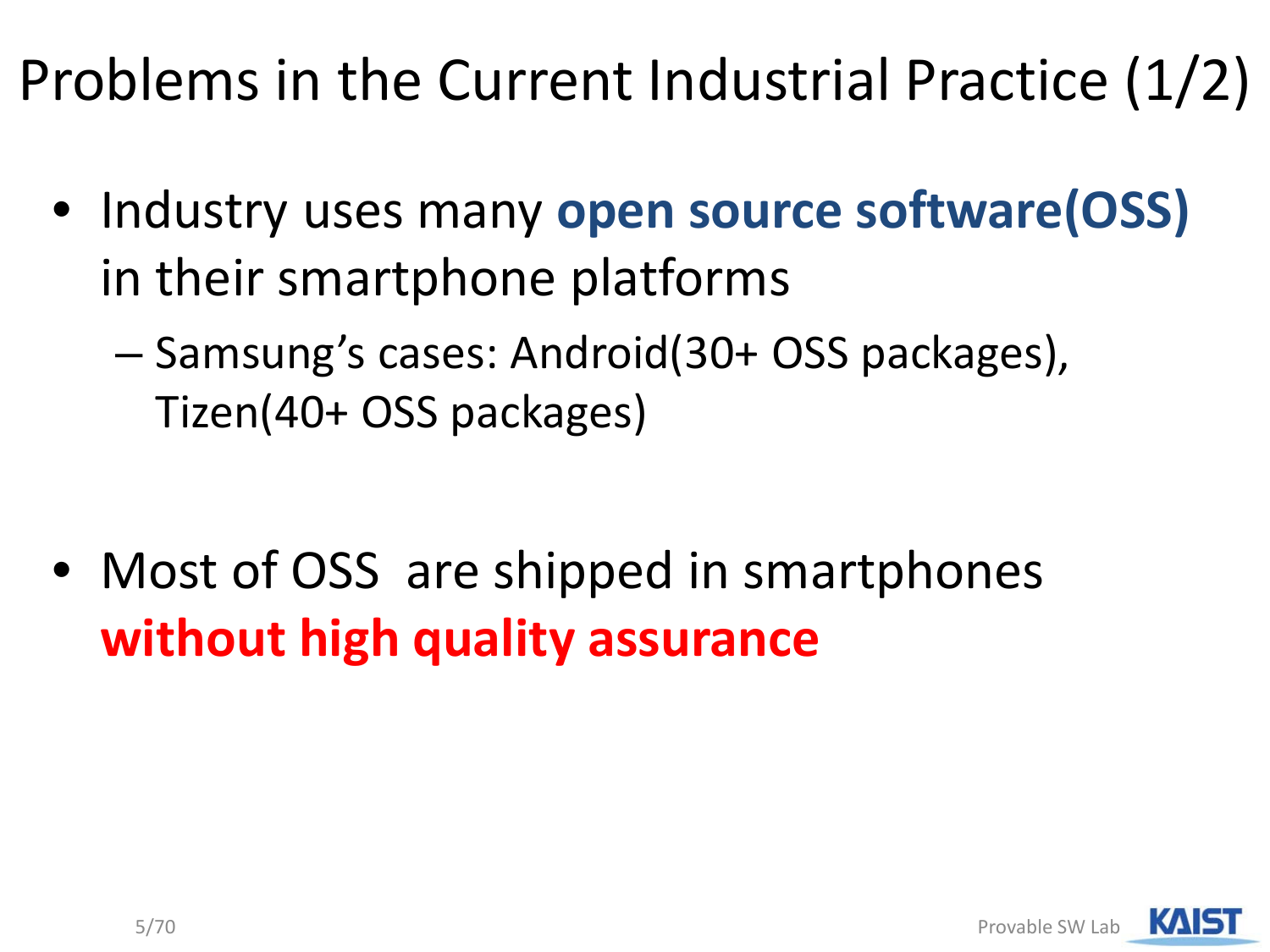Problems in the Current Industrial Practice (1/2)

- Industry uses many **open source software(OSS)**  in their smartphone platforms
	- Samsung's cases: Android(30+ OSS packages), Tizen(40+ OSS packages)

• Most of OSS are shipped in smartphones **without high quality assurance**

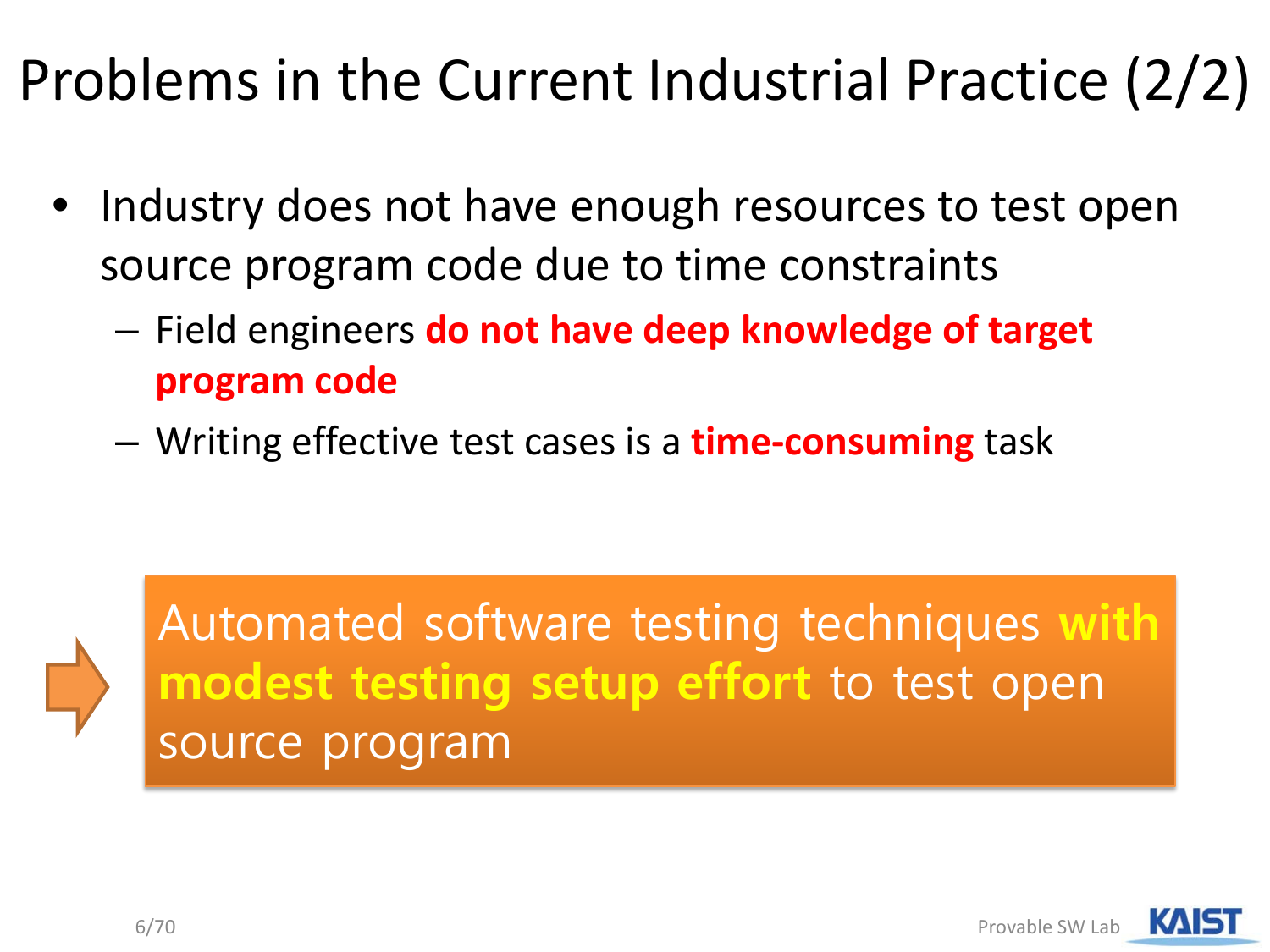#### Problems in the Current Industrial Practice (2/2)

- Industry does not have enough resources to test open source program code due to time constraints
	- Field engineers **do not have deep knowledge of target program code**
	- Writing effective test cases is a **time-consuming** task



Automated software testing techniques **with modest testing setup effort** to test open source program

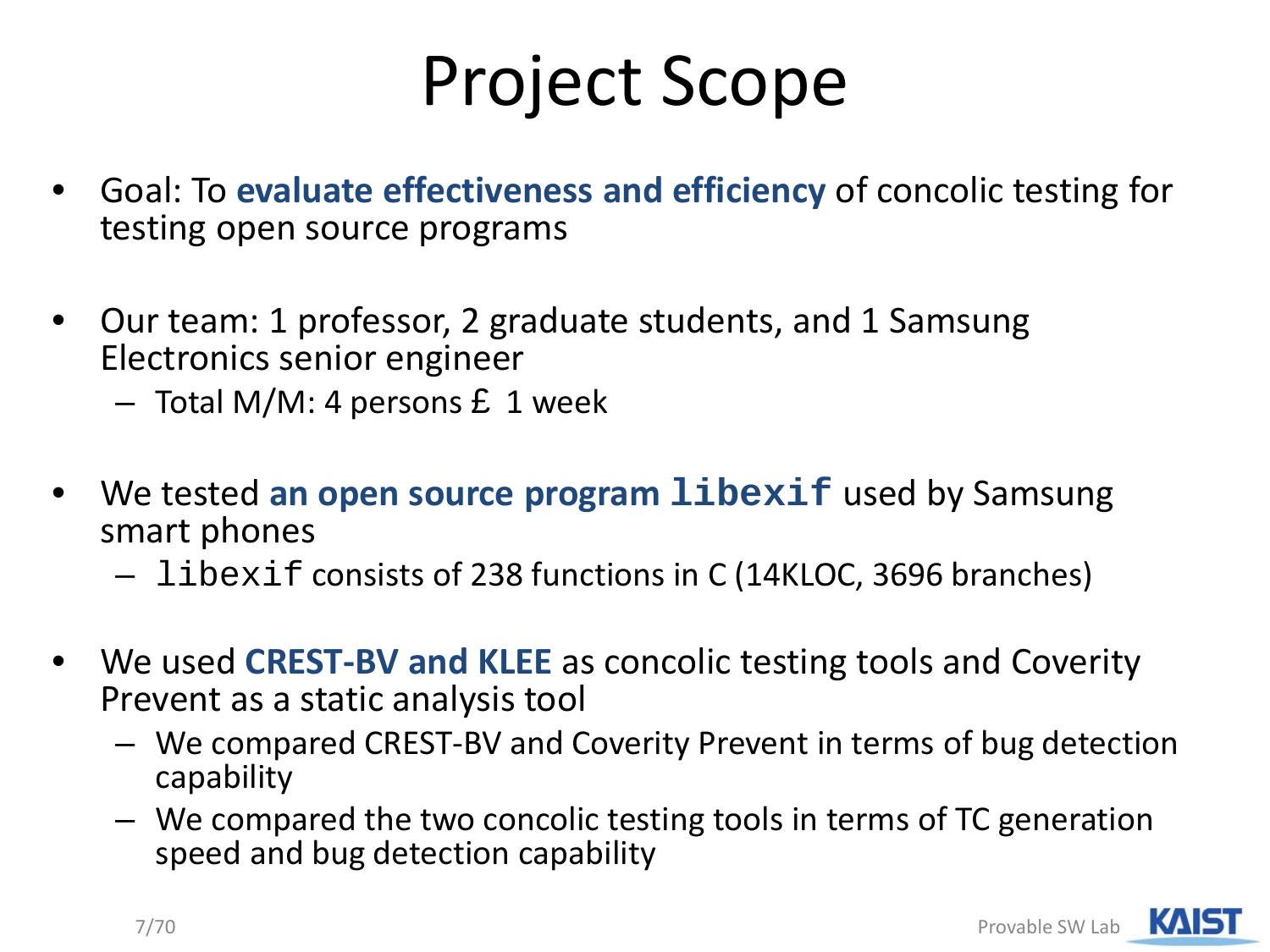## Project Scope

- Goal: To **evaluate effectiveness and efficiency** of concolic testing for testing open source programs
- Our team: 1 professor, 2 graduate students, and 1 Samsung Electronics senior engineer
	- $-$  Total M/M: 4 persons £ 1 week
- We tested **an open source program libexif** used by Samsung smart phones
	- libexif consists of 238 functions in C (14KLOC, 3696 branches)
- We used **CREST-BV and KLEE** as concolic testing tools and Coverity Prevent as a static analysis tool
	- We compared CREST-BV and Coverity Prevent in terms of bug detection capability
	- We compared the two concolic testing tools in terms of TC generation speed and bug detection capability

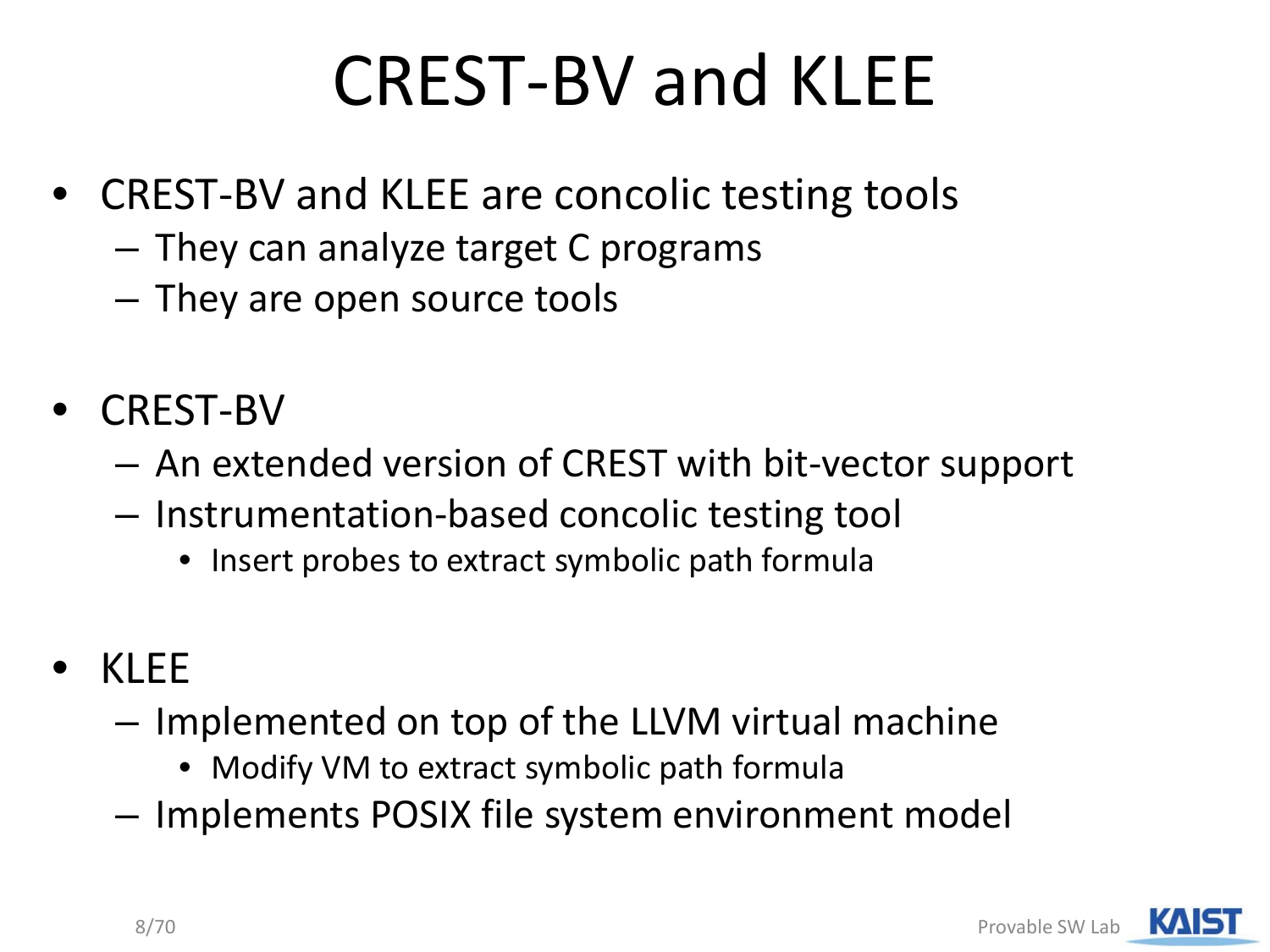## CREST-BV and KLEE

- CREST-BV and KLEE are concolic testing tools
	- They can analyze target C programs
	- They are open source tools
- CREST-BV
	- An extended version of CREST with bit-vector support
	- Instrumentation-based concolic testing tool
		- Insert probes to extract symbolic path formula
- KLEE
	- Implemented on top of the LLVM virtual machine
		- Modify VM to extract symbolic path formula
	- Implements POSIX file system environment model

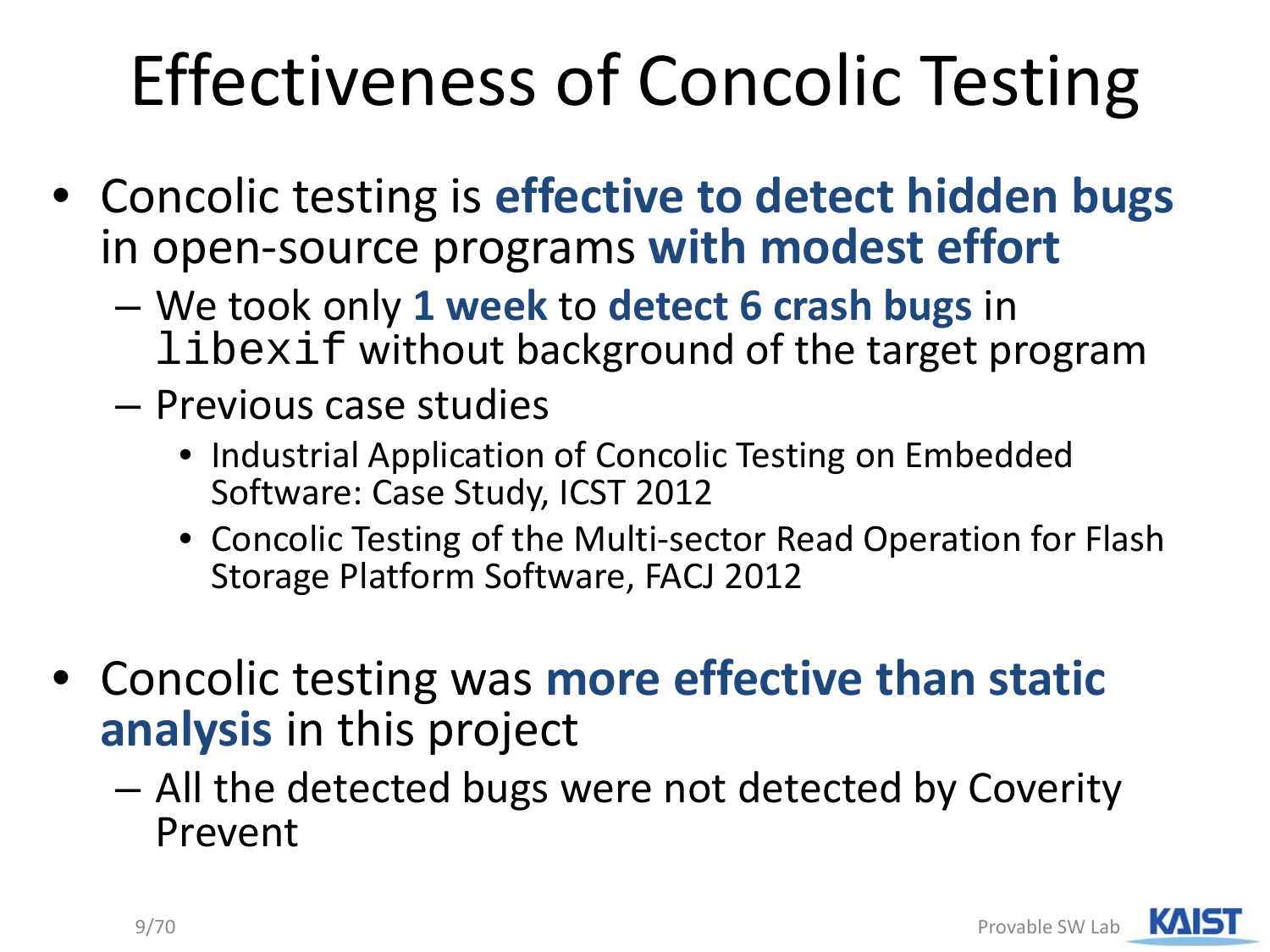## Effectiveness of Concolic Testing

- Concolic testing is **effective to detect hidden bugs**  in open-source programs **with modest effort**
	- We took only **1 week** to **detect 6 crash bugs** in libexif without background of the target program
	- Previous case studies
		- Industrial Application of Concolic Testing on Embedded Software: Case Study, ICST 2012
		- Concolic Testing of the Multi-sector Read Operation for Flash Storage Platform Software, FACJ 2012
- Concolic testing was **more effective than static analysis** in this project
	- All the detected bugs were not detected by Coverity Prevent

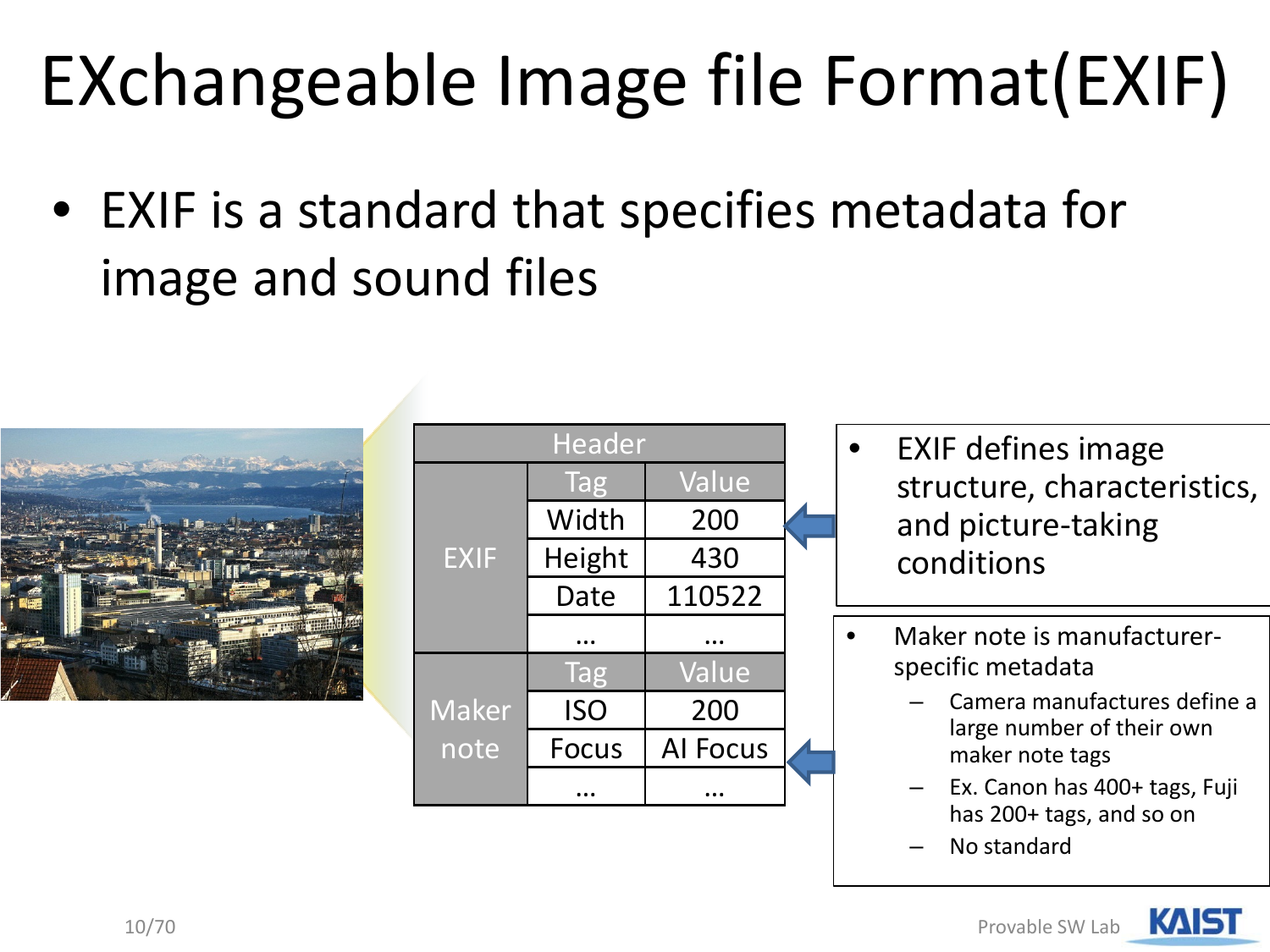## EXchangeable Image file Format(EXIF)

• EXIF is a standard that specifies metadata for image and sound files



|              | <b>Header</b> |                 |  |
|--------------|---------------|-----------------|--|
|              | Tag           | Value           |  |
|              | Width         | 200             |  |
| <b>EXIF</b>  | Height        | 430             |  |
|              | Date          | 110522          |  |
|              |               |                 |  |
|              | Tag           | Value           |  |
| <b>Maker</b> | <b>ISO</b>    | 200             |  |
| note         | <b>Focus</b>  | <b>Al Focus</b> |  |
|              |               |                 |  |

- EXIF defines image structure, characteristics, and picture-taking conditions
- Maker note is manufacturerspecific metadata
	- Camera manufactures define a large number of their own maker note tags
	- Ex. Canon has 400+ tags, Fuji has 200+ tags, and so on
	- No standard

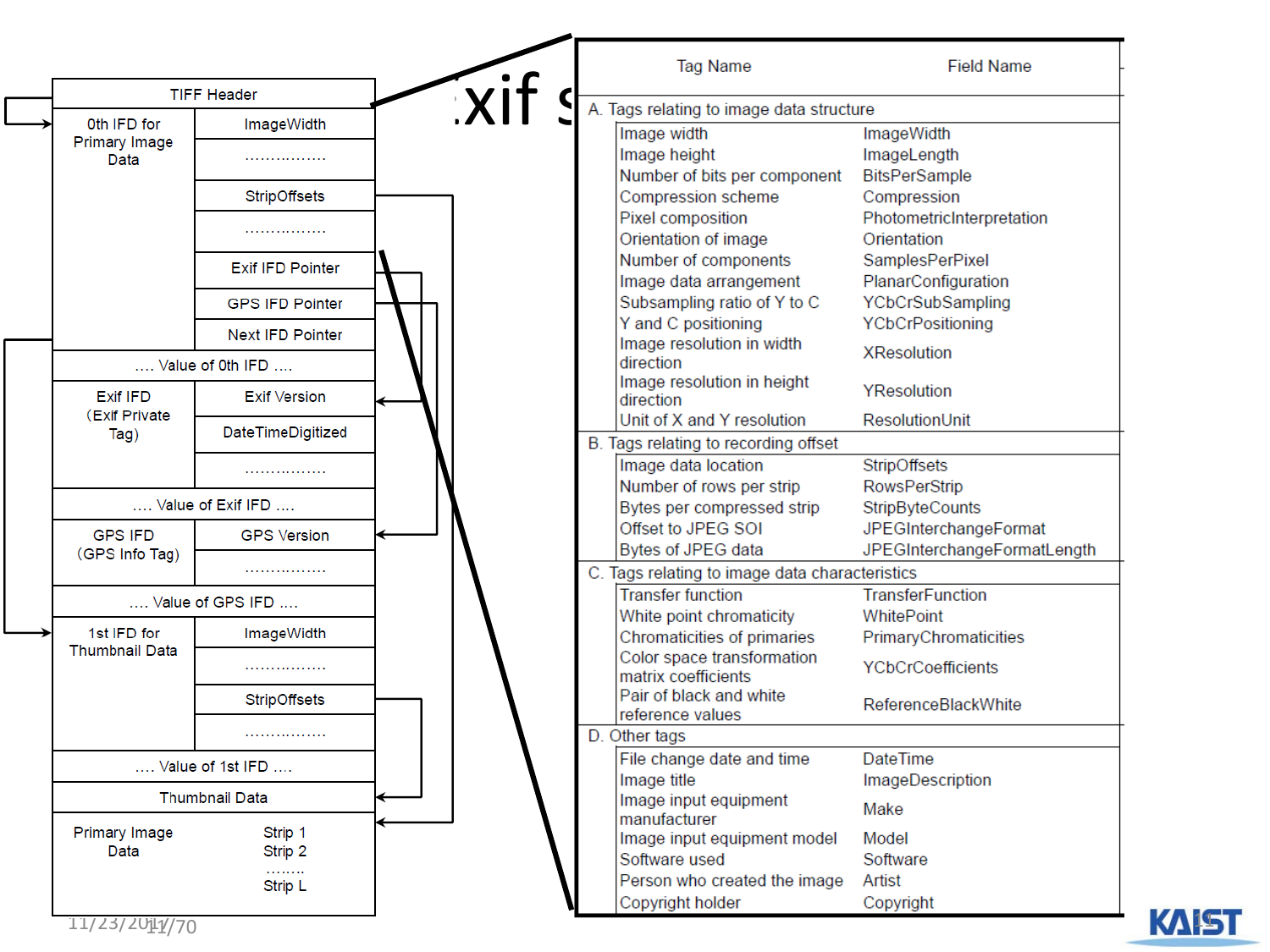|                                      | <b>TIFF Header</b>      |   |                                                                    |                                          |
|--------------------------------------|-------------------------|---|--------------------------------------------------------------------|------------------------------------------|
| 0th IFD for                          | ImageWidth              | X | A. Tags relating to image data structure                           |                                          |
| <b>Primary Image</b>                 |                         |   | Image width                                                        | ImageWidth                               |
| Data                                 |                         |   | Image height                                                       | ImageLength                              |
|                                      |                         |   | Number of bits per component                                       | <b>BitsPerSample</b>                     |
|                                      | StripOffsets            |   | Compression scheme                                                 | Compression                              |
|                                      |                         |   | Pixel composition<br>Orientation of image                          | PhotometricInterpretation<br>Orientation |
|                                      |                         |   | Number of components                                               | SamplesPerPixel                          |
|                                      | <b>Exif IFD Pointer</b> |   | Image data arrangement                                             | PlanarConfiguration                      |
|                                      | <b>GPS IFD Pointer</b>  |   | Subsampling ratio of Y to C                                        | YCbCrSubSampling                         |
|                                      |                         |   | Y and C positioning                                                | YCbCrPositioning                         |
|                                      | <b>Next IFD Pointer</b> |   | Image resolution in width                                          |                                          |
|                                      | Value of 0th IFD        |   | direction                                                          | <b>XResolution</b>                       |
| <b>Exif IFD</b>                      |                         |   | Image resolution in height                                         | YResolution                              |
| (Exif Private)                       | <b>Exif Version</b>     |   | direction                                                          |                                          |
| Tag)                                 | DateTimeDigitized       |   | Unit of X and Y resolution<br>B. Tags relating to recording offset | ResolutionUnit                           |
|                                      |                         |   | Image data location                                                | StripOffsets                             |
|                                      |                         |   | Number of rows per strip                                           | <b>RowsPerStrip</b>                      |
|                                      | Value of Exif IFD       |   | Bytes per compressed strip                                         | StripByteCounts                          |
| <b>GPS IFD</b>                       | <b>GPS Version</b>      |   | Offset to JPEG SOI                                                 | JPEGInterchangeFormat                    |
| (GPS Info Tag)                       |                         |   | Bytes of JPEG data                                                 | JPEGInterchangeFormatLength              |
|                                      |                         |   | C. Tags relating to image data characteristics                     |                                          |
|                                      | Value of GPS IFD        |   | <b>Transfer function</b>                                           | <b>TransferFunction</b>                  |
|                                      |                         |   | White point chromaticity                                           | WhitePoint                               |
| 1st IFD for<br><b>Thumbnail Data</b> | ImageWidth              |   | Chromaticities of primaries                                        | PrimaryChromaticities                    |
|                                      |                         |   | Color space transformation<br>matrix coefficients                  | <b>YCbCrCoefficients</b>                 |
|                                      | StripOffsets            |   | Pair of black and white<br>reference values                        | ReferenceBlackWhite                      |
|                                      | .                       |   | D. Other tags                                                      |                                          |
|                                      | Value of 1st IFD        |   | File change date and time                                          | <b>DateTime</b>                          |
|                                      |                         |   | Image title                                                        | ImageDescription                         |
|                                      | <b>Thumbnail Data</b>   |   | Image input equipment                                              | Make                                     |
| <b>Primary Image</b>                 | Strip 1                 |   | manufacturer                                                       |                                          |
| Data                                 | Strip 2                 |   | Image input equipment model                                        | Model                                    |
|                                      | .                       |   | Software used                                                      | Software                                 |
|                                      | Strip L                 |   | Person who created the image<br>Copyright holder                   | Artist<br>Copyright                      |

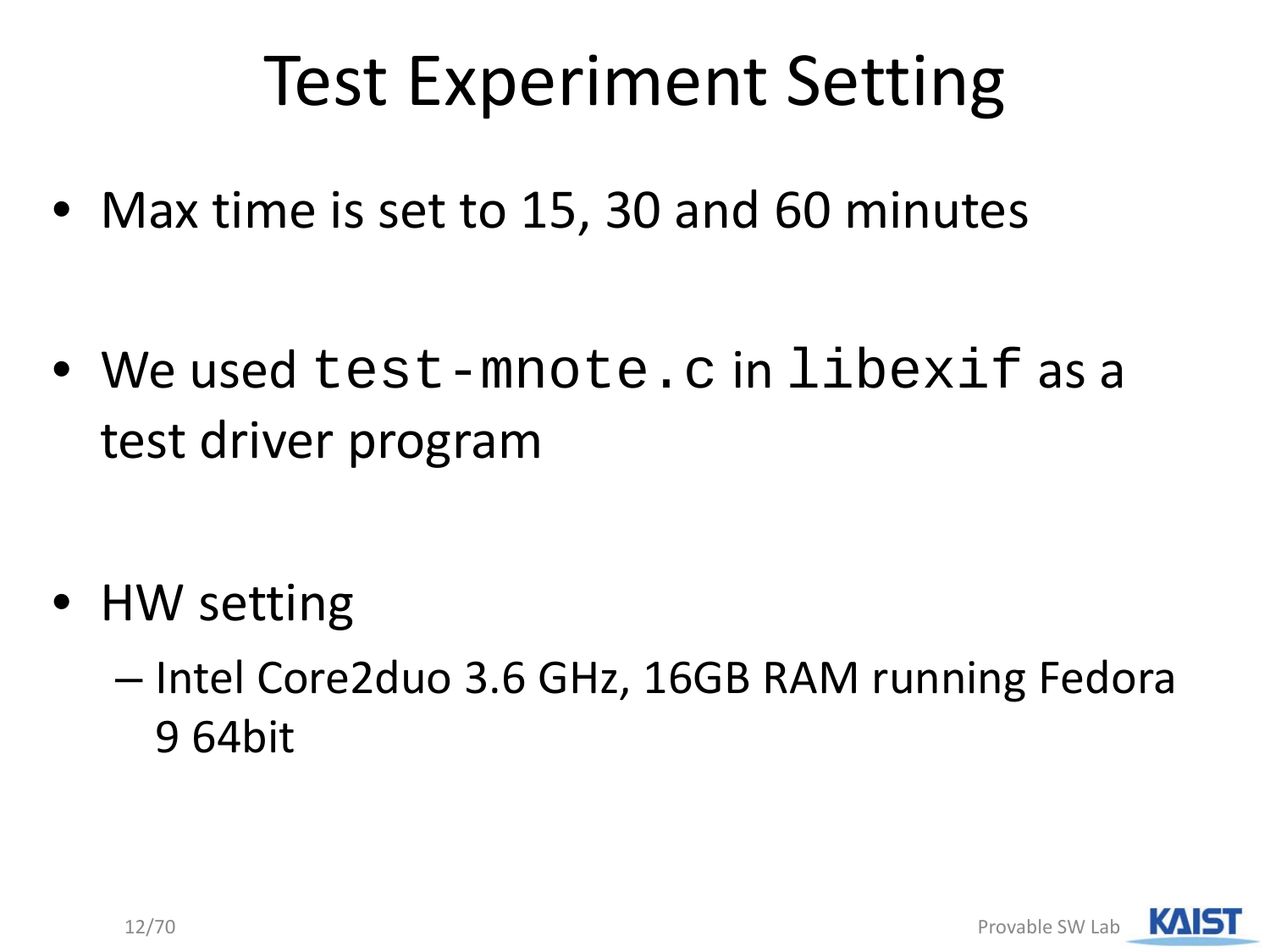## Test Experiment Setting

• Max time is set to 15, 30 and 60 minutes

• We used test-mnote.c in libexif as a test driver program

- HW setting
	- Intel Core2duo 3.6 GHz, 16GB RAM running Fedora 9 64bit

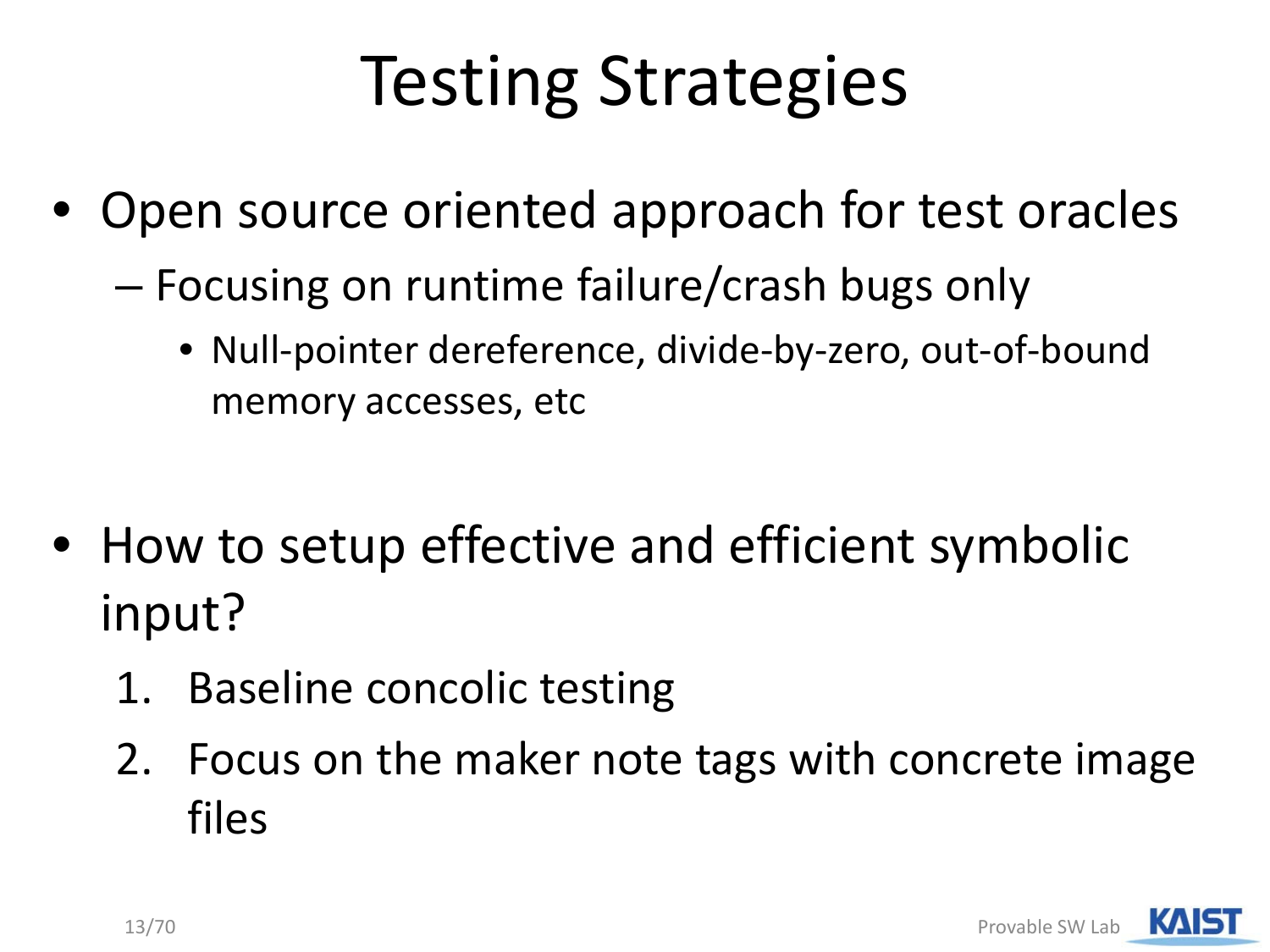## Testing Strategies

- Open source oriented approach for test oracles
	- Focusing on runtime failure/crash bugs only
		- Null-pointer dereference, divide-by-zero, out-of-bound memory accesses, etc
- How to setup effective and efficient symbolic input?
	- 1. Baseline concolic testing
	- 2. Focus on the maker note tags with concrete image files

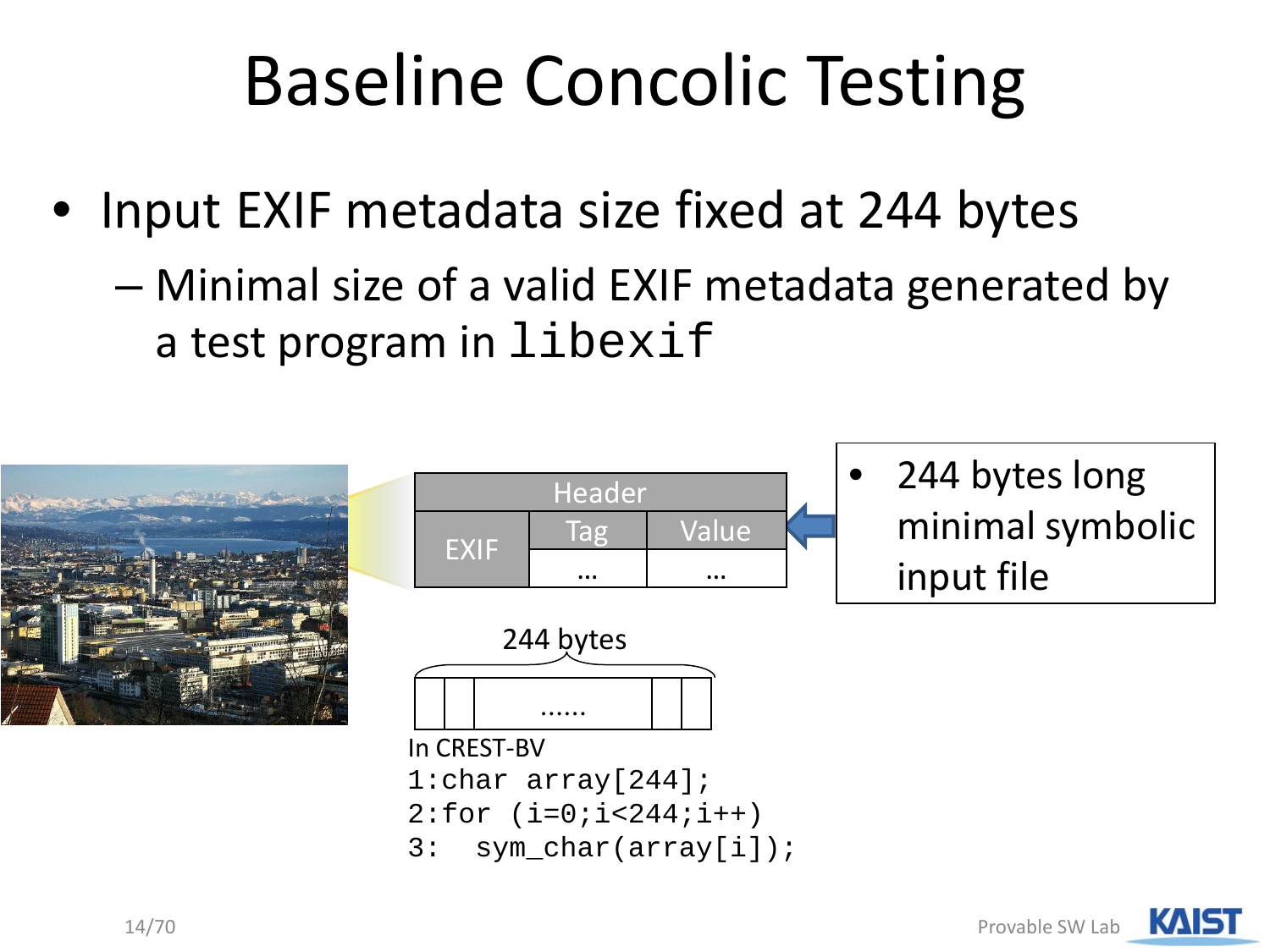## Baseline Concolic Testing

- Input EXIF metadata size fixed at 244 bytes
	- Minimal size of a valid EXIF metadata generated by a test program in libexif

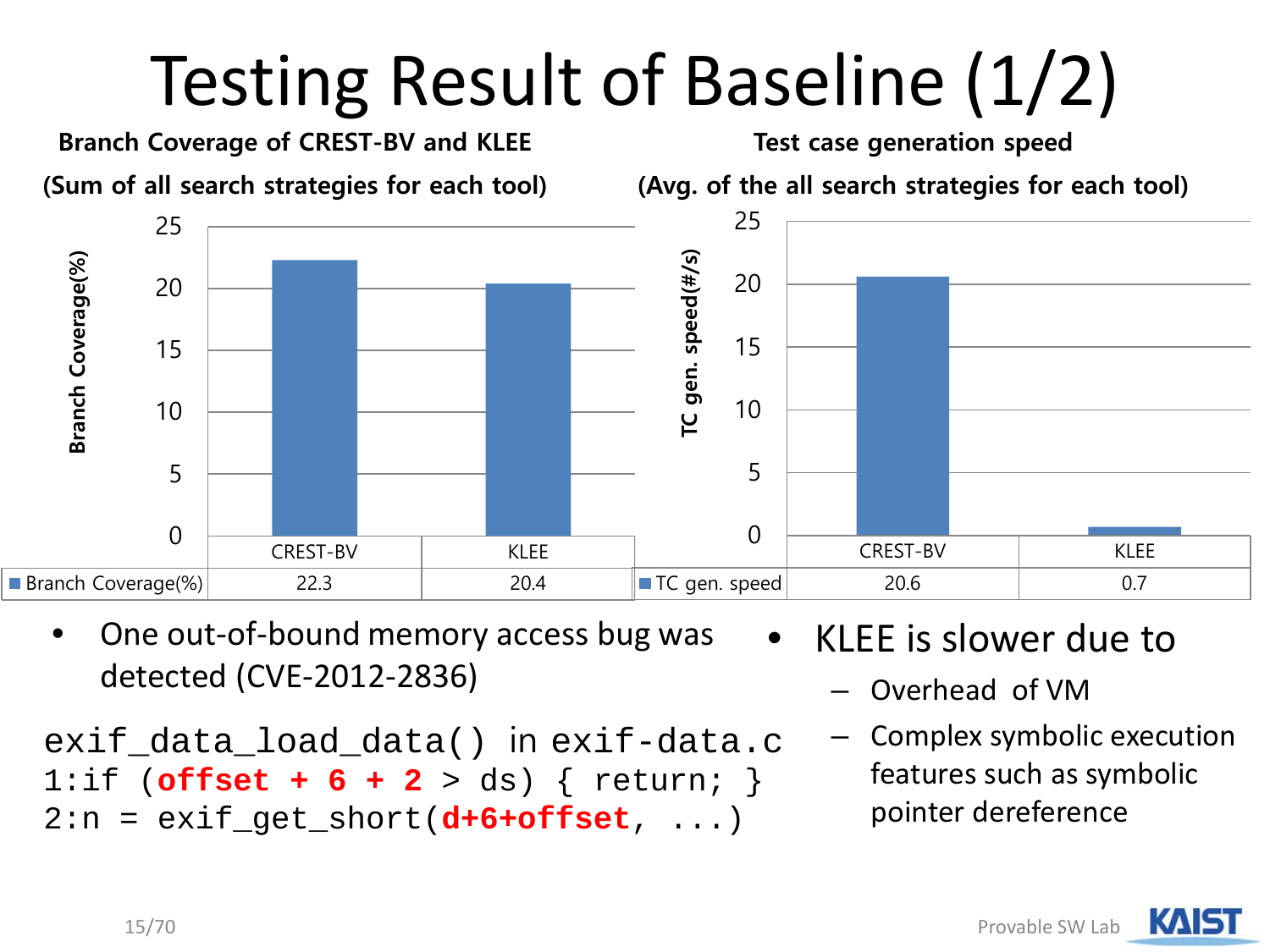# Testing Result of Baseline (1/2)



• One out-of-bound memory access bug was detected (CVE-2012-2836)

```
exif_data_load_data() in exif-data.c
1:if (offset + 6 + 2 > ds) { return; }
2:n = exit\_get\_short(d+6+offset, ...)
```
- KLEE is slower due to
	- Overhead of VM
	- Complex symbolic execution features such as symbolic pointer dereference

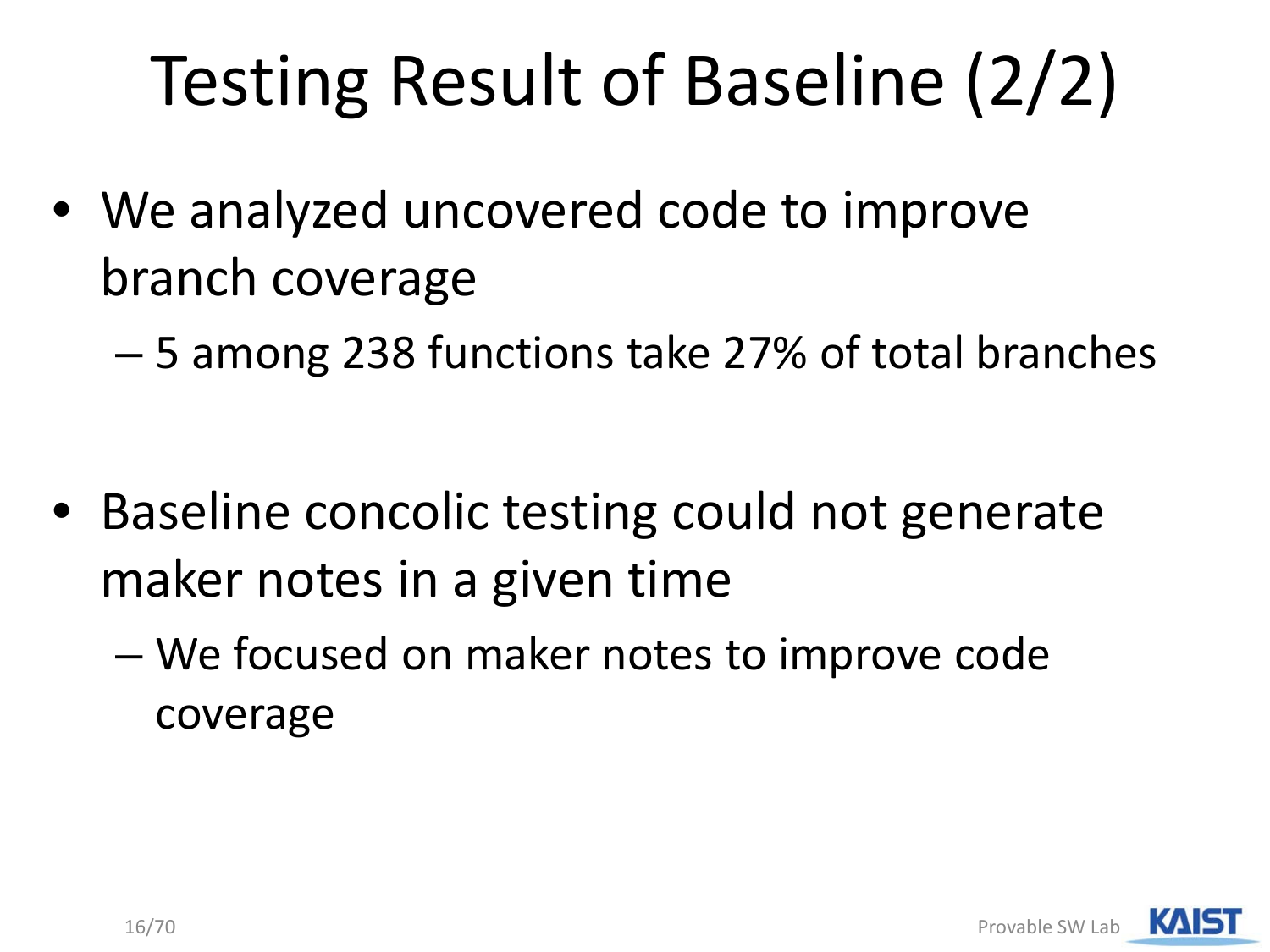# Testing Result of Baseline (2/2)

- We analyzed uncovered code to improve branch coverage
	- 5 among 238 functions take 27% of total branches

- Baseline concolic testing could not generate maker notes in a given time
	- We focused on maker notes to improve code coverage

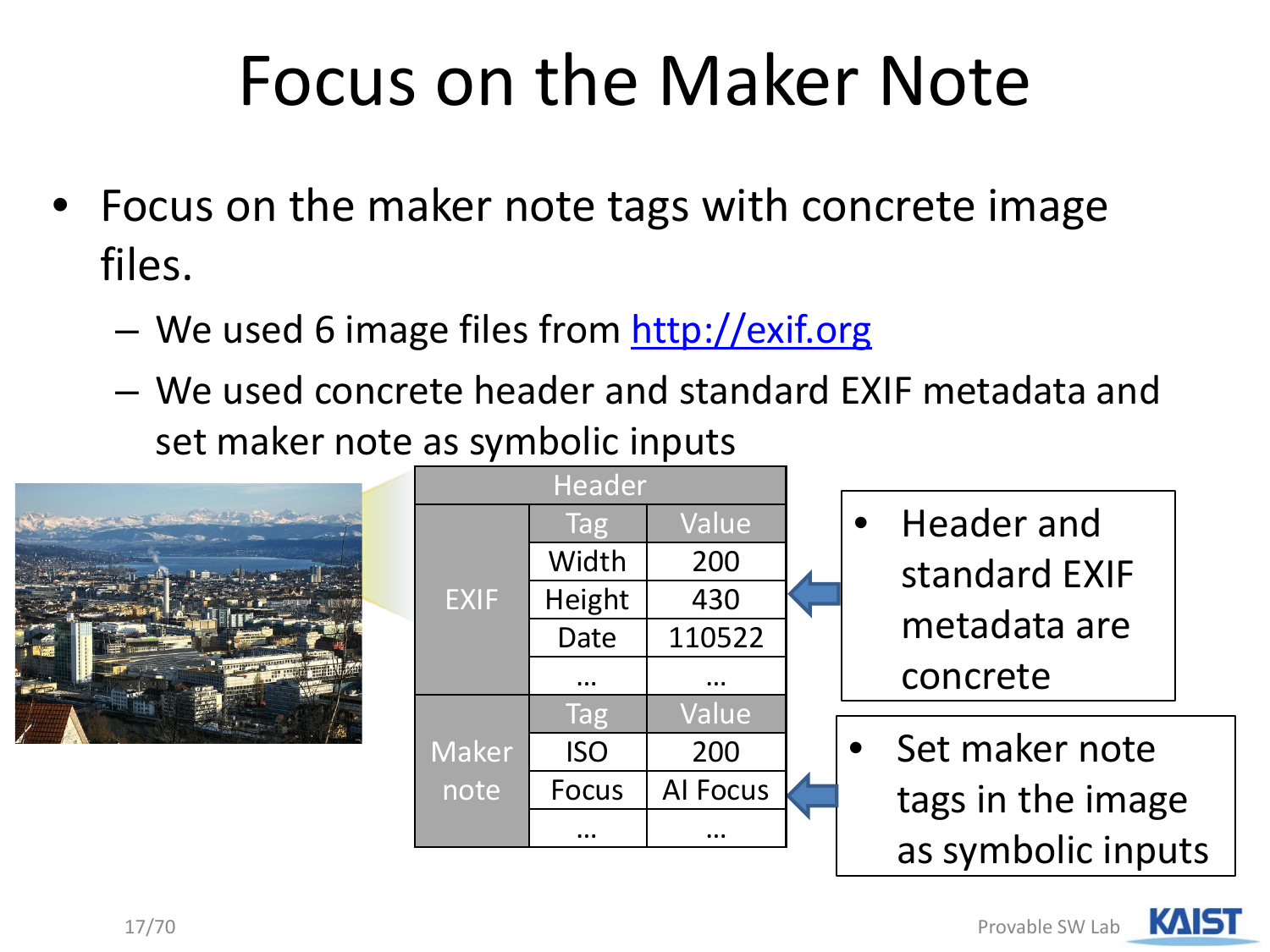### Focus on the Maker Note

- Focus on the maker note tags with concrete image files.
	- We used 6 image files from [http://exif.org](http://exif.org/)
	- We used concrete header and standard EXIF metadata and set maker note as symbolic inputs



| Header       |              |                 |  |
|--------------|--------------|-----------------|--|
|              | Tag          | Value           |  |
|              | Width        | 200             |  |
| <b>EXIF</b>  | Height       | 430             |  |
|              | Date         | 110522          |  |
|              |              |                 |  |
|              | Tag          | Value           |  |
| <b>Maker</b> | <b>ISO</b>   | 200             |  |
| note         | <b>Focus</b> | <b>Al Focus</b> |  |
|              |              |                 |  |
|              |              |                 |  |

- Header and standard EXIF metadata are concrete
- Set maker note tags in the image as symbolic inputs

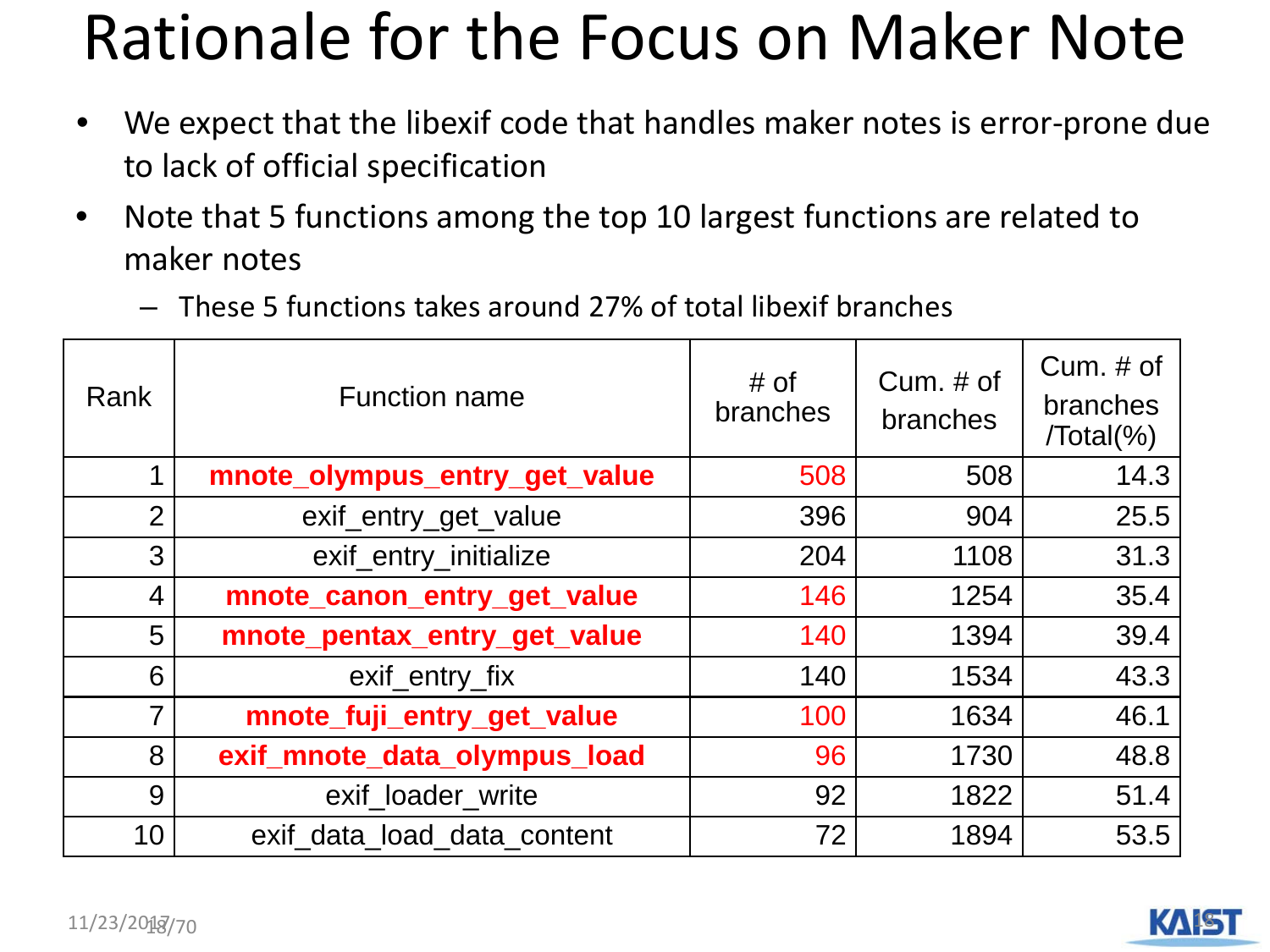#### Rationale for the Focus on Maker Note

- We expect that the libexif code that handles maker notes is error-prone due to lack of official specification
- Note that 5 functions among the top 10 largest functions are related to maker notes
	- These 5 functions takes around 27% of total libexif branches

| Rank           | <b>Function name</b>          | # of<br>branches | $Cum. \# of$<br><b>branches</b> | Cum. $#$ of<br>branches<br>$/Total(\% )$ |
|----------------|-------------------------------|------------------|---------------------------------|------------------------------------------|
| 1              | mnote_olympus_entry_get_value | 508              | 508                             | 14.3                                     |
| $\overline{2}$ | exif_entry_get_value          | 396              | 904                             | 25.5                                     |
| 3              | exif_entry_initialize         | 204              | 1108                            | 31.3                                     |
| $\overline{4}$ | mnote_canon_entry_get_value   | 146              | 1254                            | 35.4                                     |
| 5              | mnote_pentax_entry_get_value  | 140              | 1394                            | 39.4                                     |
| 6              | exif_entry_fix                | 140              | 1534                            | 43.3                                     |
| $\overline{7}$ | mnote_fuji_entry_get_value    | 100              | 1634                            | 46.1                                     |
| 8              | exif_mnote_data_olympus_load  | 96               | 1730                            | 48.8                                     |
| 9              | exif loader write             | 92               | 1822                            | 51.4                                     |
| 10             | exif data load data content   | 72               | 1894                            | 53.5                                     |

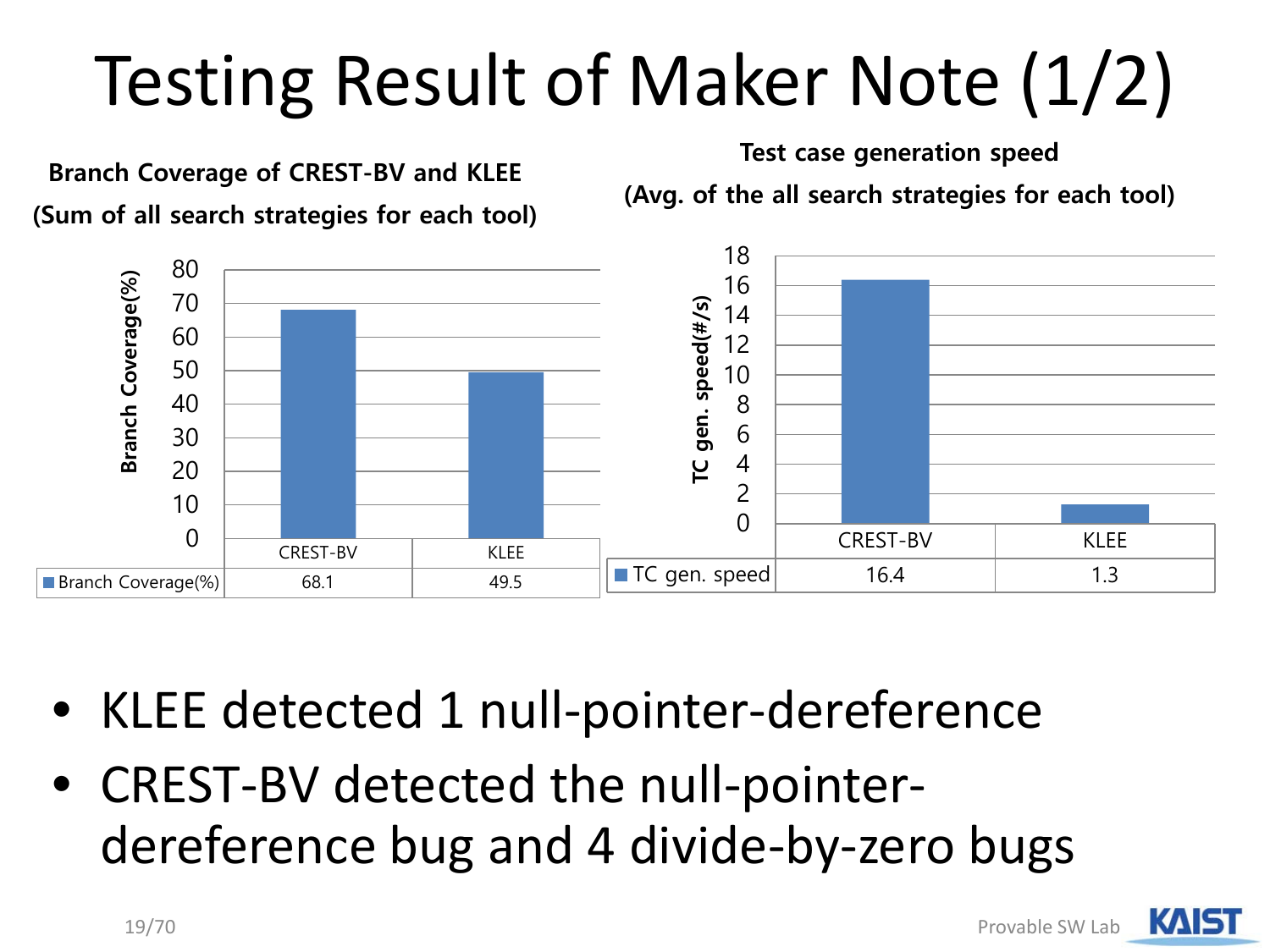# Testing Result of Maker Note (1/2)



- KLEE detected 1 null-pointer-dereference
- CREST-BV detected the null-pointerdereference bug and 4 divide-by-zero bugs

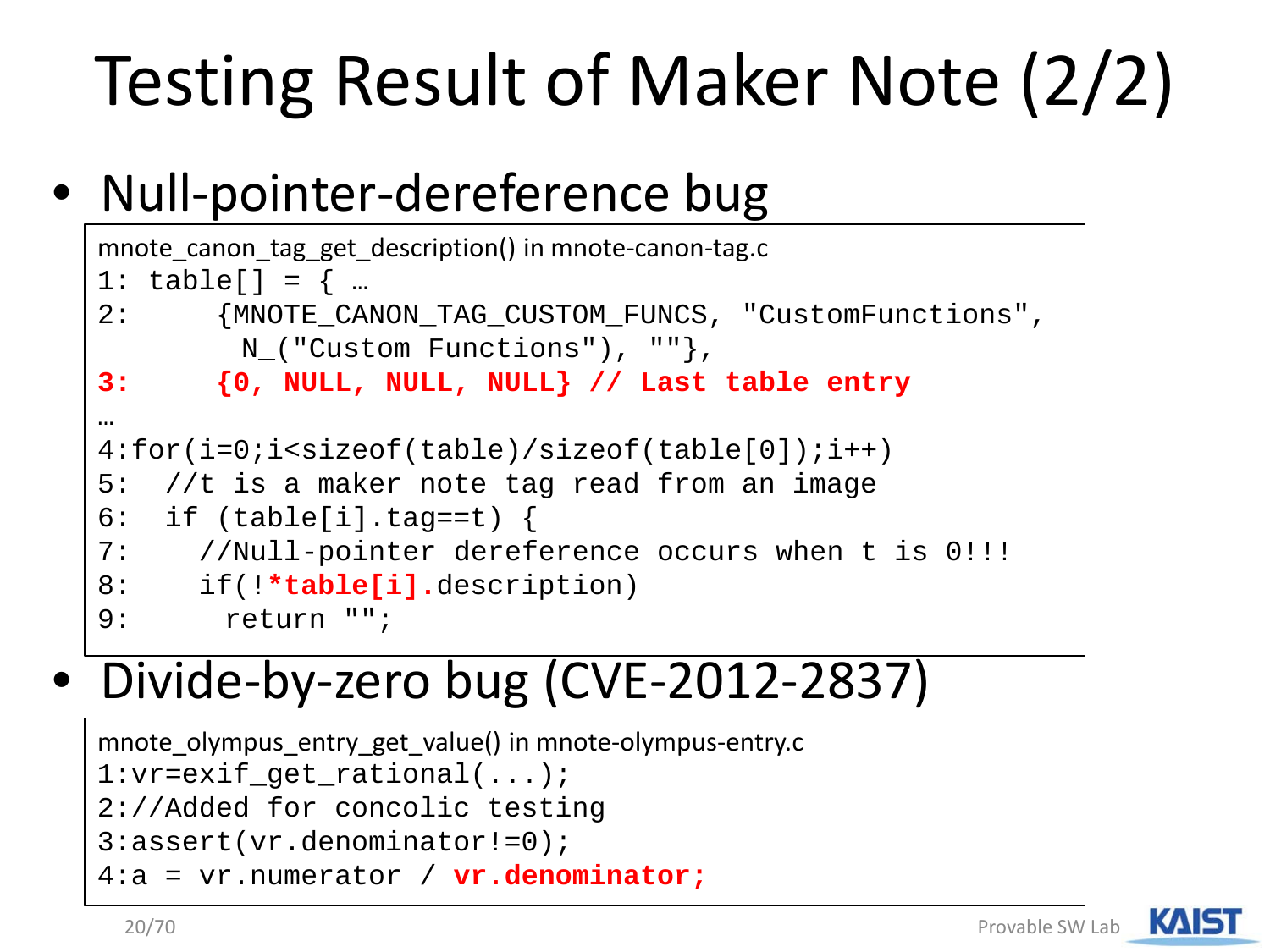# Testing Result of Maker Note (2/2)

#### • Null-pointer-dereference bug

```
mnote_canon_tag_get_description() in mnote-canon-tag.c
1: table[] = { ...2: {MNOTE_CANON_TAG_CUSTOM_FUNCS, "CustomFunctions", 
        N_("Custom Functions"), ""},
3: {0, NULL, NULL, NULL} // Last table entry
…
4:for(i=0;i<sizeof(table)/sizeof(table[0]);i++)
5: //t is a maker note tag read from an image 
6: if (table[i].tag==t) {
7: //Null-pointer dereference occurs when t is 0!!!
8: if(!*table[i].description)
9: return "";
```
#### • Divide-by-zero bug (CVE-2012-2837)

```
mnote olympus entry get value() in mnote-olympus-entry.c
1:vr=exif_get_rational(...);
2://Added for concolic testing
3:assert(vr.denominator!=0);
4:a = vr.numerator / vr.denominator;
```
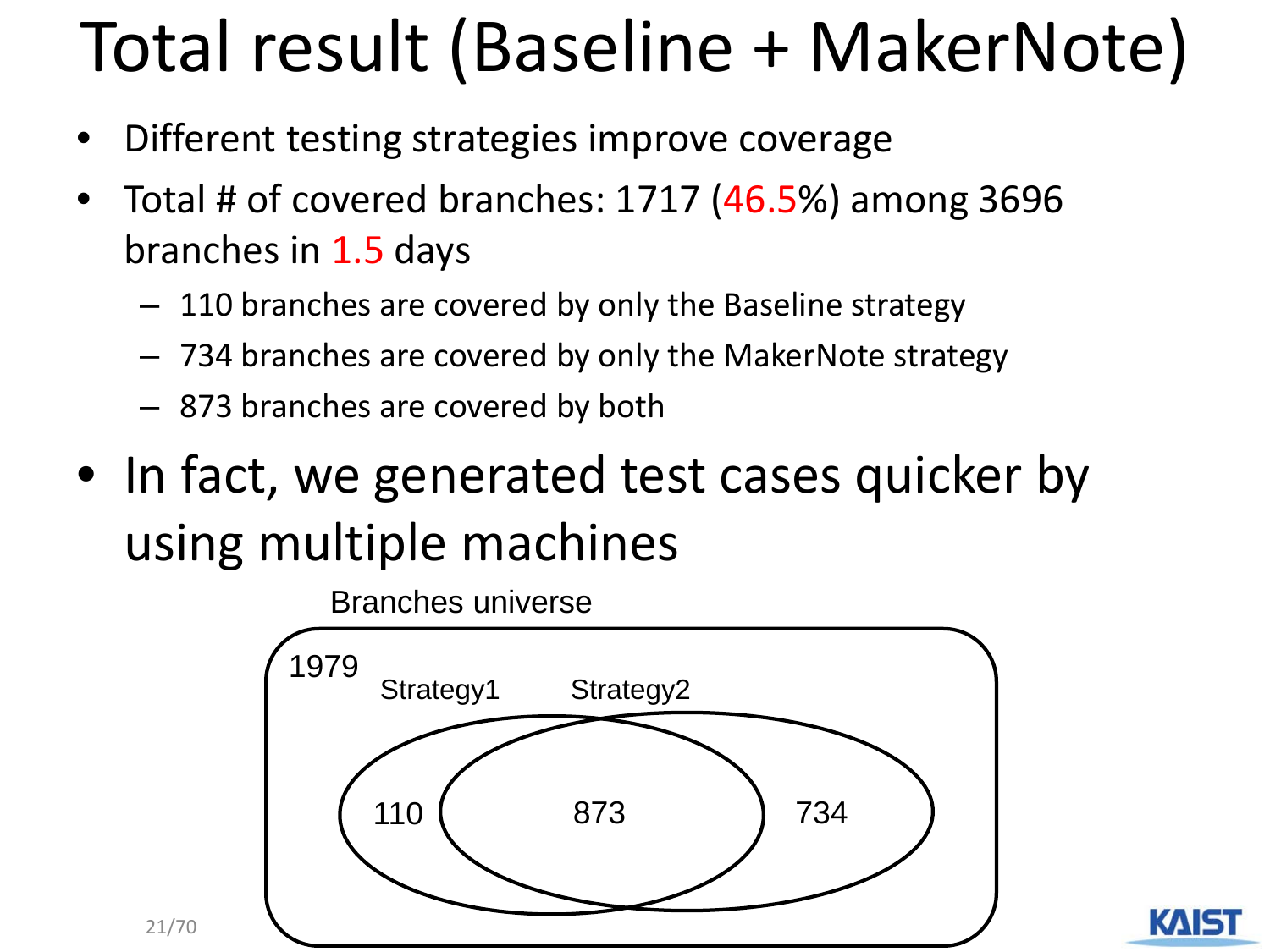## Total result (Baseline + MakerNote)

- Different testing strategies improve coverage
- Total # of covered branches: 1717 (46.5%) among 3696 branches in 1.5 days
	- 110 branches are covered by only the Baseline strategy
	- 734 branches are covered by only the MakerNote strategy
	- 873 branches are covered by both

21/70

• In fact, we generated test cases quicker by using multiple machines

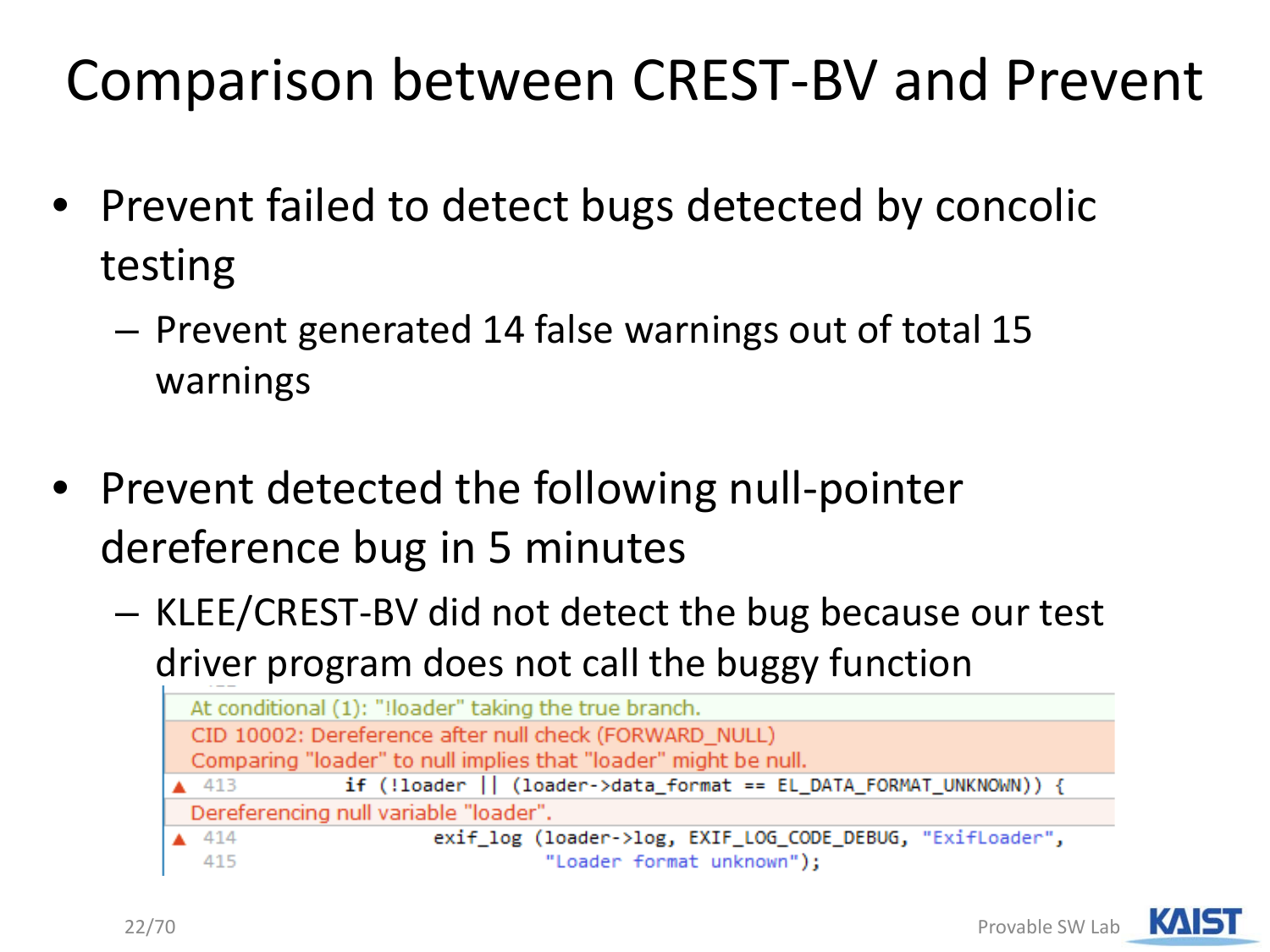#### Comparison between CREST-BV and Prevent

- Prevent failed to detect bugs detected by concolic testing
	- Prevent generated 14 false warnings out of total 15 warnings
- Prevent detected the following null-pointer dereference bug in 5 minutes
	- KLEE/CREST-BV did not detect the bug because our test driver program does not call the buggy function

| At conditional (1): "Iloader" taking the true branch.                                |
|--------------------------------------------------------------------------------------|
| CID 10002: Dereference after null check (FORWARD_NULL)                               |
| Comparing "loader" to null implies that "loader" might be null.                      |
| if (!loader    (loader->data_format == EL_DATA_FORMAT_UNKNOWN)) {<br>$\triangle$ 413 |
| Dereferencing null variable "loader".                                                |
| exif_log (loader->log, EXIF_LOG_CODE_DEBUG, "ExifLoader",<br>414                     |
| "Loader format unknown");<br>415                                                     |

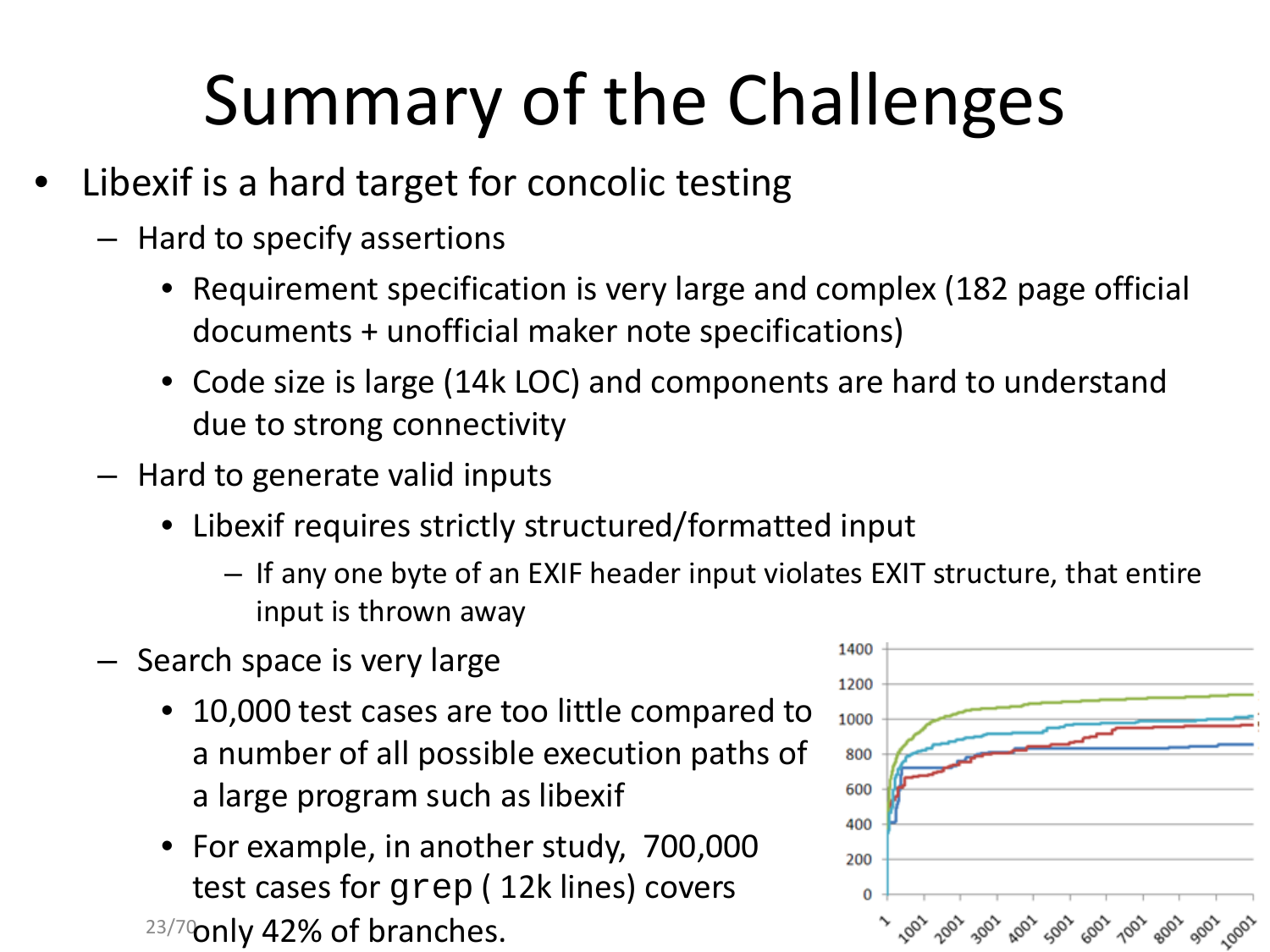## Summary of the Challenges

- Libexif is a hard target for concolic testing
	- Hard to specify assertions
		- Requirement specification is very large and complex (182 page official documents + unofficial maker note specifications)
		- Code size is large (14k LOC) and components are hard to understand due to strong connectivity
	- Hard to generate valid inputs
		- Libexif requires strictly structured/formatted input
			- If any one byte of an EXIF header input violates EXIT structure, that entire input is thrown away
	- Search space is very large
		- 10,000 test cases are too little compared to a number of all possible execution paths of a large program such as libexif
		- 23/70 nly 42% of branches. • For example, in another study, 700,000 test cases for grep ( 12k lines) covers